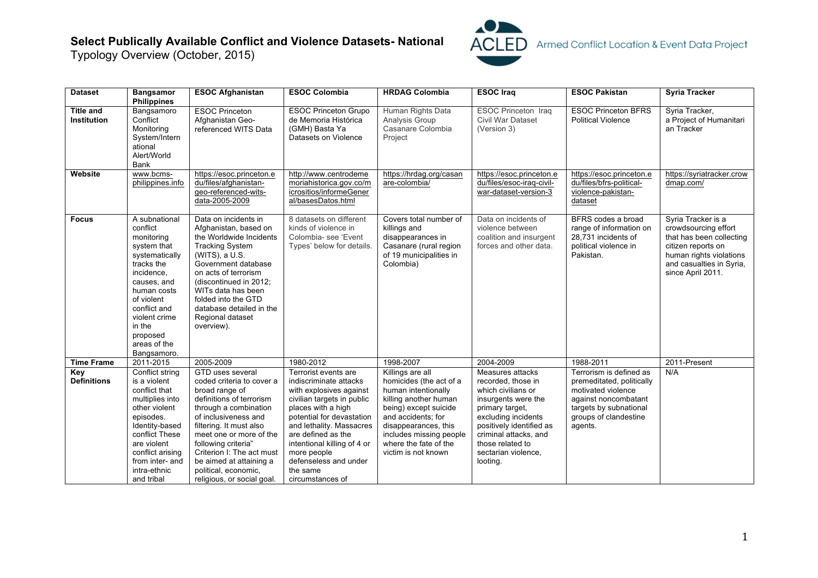## **Select Publically Available Conflict and Violence Datasets- National**

Typology Overview (October, 2015)



| <b>Dataset</b>                         | <b>Bangsamor</b><br><b>Philippines</b>                                                                                                                                                                                                 | <b>ESOC Afghanistan</b>                                                                                                                                                                                                                                                                                             | <b>ESOC Colombia</b>                                                                                                                                                                                                                                                                        | <b>HRDAG Colombia</b>                                                                                                                                                                                                     | <b>ESOC</b> Iraq                                                                                                                                                                                                      | <b>ESOC Pakistan</b>                                                                                                                  | <b>Syria Tracker</b>                                                                                                                                                     |
|----------------------------------------|----------------------------------------------------------------------------------------------------------------------------------------------------------------------------------------------------------------------------------------|---------------------------------------------------------------------------------------------------------------------------------------------------------------------------------------------------------------------------------------------------------------------------------------------------------------------|---------------------------------------------------------------------------------------------------------------------------------------------------------------------------------------------------------------------------------------------------------------------------------------------|---------------------------------------------------------------------------------------------------------------------------------------------------------------------------------------------------------------------------|-----------------------------------------------------------------------------------------------------------------------------------------------------------------------------------------------------------------------|---------------------------------------------------------------------------------------------------------------------------------------|--------------------------------------------------------------------------------------------------------------------------------------------------------------------------|
| <b>Title and</b><br><b>Institution</b> | Bangsamoro<br>Conflict<br>Monitoring<br>System/Intern<br>ational<br>Alert/World<br><b>Bank</b>                                                                                                                                         | <b>ESOC Princeton</b><br>Afghanistan Geo-<br>referenced WITS Data                                                                                                                                                                                                                                                   | <b>ESOC Princeton Grupo</b><br>de Memoria Histórica<br>(GMH) Basta Ya<br>Datasets on Violence                                                                                                                                                                                               | Human Rights Data<br>Analysis Group<br>Casanare Colombia<br>Project                                                                                                                                                       | <b>ESOC Princeton Iraq</b><br>Civil War Dataset<br>(Version 3)                                                                                                                                                        | <b>ESOC Princeton BFRS</b><br><b>Political Violence</b>                                                                               | Syria Tracker,<br>a Project of Humanitari<br>an Tracker                                                                                                                  |
| Website                                | www.bcms-<br>philippines.info                                                                                                                                                                                                          | https://esoc.princeton.e<br>du/files/afghanistan-<br>geo-referenced-wits-<br>data-2005-2009                                                                                                                                                                                                                         | http://www.centrodeme<br>moriahistorica.gov.co/m<br>icrositios/informeGener<br>al/basesDatos.html                                                                                                                                                                                           | https://hrdag.org/casan<br>are-colombia/                                                                                                                                                                                  | https://esoc.princeton.e<br>du/files/esoc-iraq-civil-<br>war-dataset-version-3                                                                                                                                        | https://esoc.princeton.e<br>du/files/bfrs-political-<br>violence-pakistan-<br>dataset                                                 | https://syriatracker.crow<br>dmap.com/                                                                                                                                   |
| <b>Focus</b>                           | A subnational<br>conflict<br>monitoring<br>system that<br>systematically<br>tracks the<br>incidence,<br>causes, and<br>human costs<br>of violent<br>conflict and<br>violent crime<br>in the<br>proposed<br>areas of the<br>Bangsamoro. | Data on incidents in<br>Afghanistan, based on<br>the Worldwide Incidents<br><b>Tracking System</b><br>(WITS), a U.S.<br>Government database<br>on acts of terrorism<br>(discontinued in 2012;<br>WITs data has been<br>folded into the GTD<br>database detailed in the<br>Regional dataset<br>overview).            | 8 datasets on different<br>kinds of violence in<br>Colombia- see 'Event<br>Types' below for details.                                                                                                                                                                                        | Covers total number of<br>killings and<br>disappearances in<br>Casanare (rural region<br>of 19 municipalities in<br>Colombia)                                                                                             | Data on incidents of<br>violence between<br>coalition and insurgent<br>forces and other data.                                                                                                                         | BFRS codes a broad<br>range of information on<br>28.731 incidents of<br>political violence in<br>Pakistan.                            | Syria Tracker is a<br>crowdsourcing effort<br>that has been collecting<br>citizen reports on<br>human rights violations<br>and casualties in Syria,<br>since April 2011. |
| <b>Time Frame</b><br>Key               | 2011-2015<br>Conflict string                                                                                                                                                                                                           | 2005-2009<br>GTD uses several                                                                                                                                                                                                                                                                                       | 1980-2012<br>Terrorist events are                                                                                                                                                                                                                                                           | 1998-2007<br>Killings are all                                                                                                                                                                                             | 2004-2009<br>Measures attacks                                                                                                                                                                                         | 1988-2011<br>Terrorism is defined as                                                                                                  | 2011-Present<br>N/A                                                                                                                                                      |
| <b>Definitions</b>                     | is a violent<br>conflict that<br>multiplies into<br>other violent<br>episodes.<br>Identity-based<br>conflict These<br>are violent<br>conflict arising<br>from inter- and<br>intra-ethnic<br>and tribal                                 | coded criteria to cover a<br>broad range of<br>definitions of terrorism<br>through a combination<br>of inclusiveness and<br>filtering. It must also<br>meet one or more of the<br>following criteria"<br>Criterion I: The act must<br>be aimed at attaining a<br>political, economic,<br>religious, or social goal. | indiscriminate attacks<br>with explosives against<br>civilian targets in public<br>places with a high<br>potential for devastation<br>and lethality. Massacres<br>are defined as the<br>intentional killing of 4 or<br>more people<br>defenseless and under<br>the same<br>circumstances of | homicides (the act of a<br>human intentionally<br>killing another human<br>being) except suicide<br>and accidents; for<br>disappearances, this<br>includes missing people<br>where the fate of the<br>victim is not known | recorded, those in<br>which civilians or<br>insurgents were the<br>primary target,<br>excluding incidents<br>positively identified as<br>criminal attacks, and<br>those related to<br>sectarian violence,<br>looting. | premeditated, politically<br>motivated violence<br>against noncombatant<br>targets by subnational<br>groups of clandestine<br>agents. |                                                                                                                                                                          |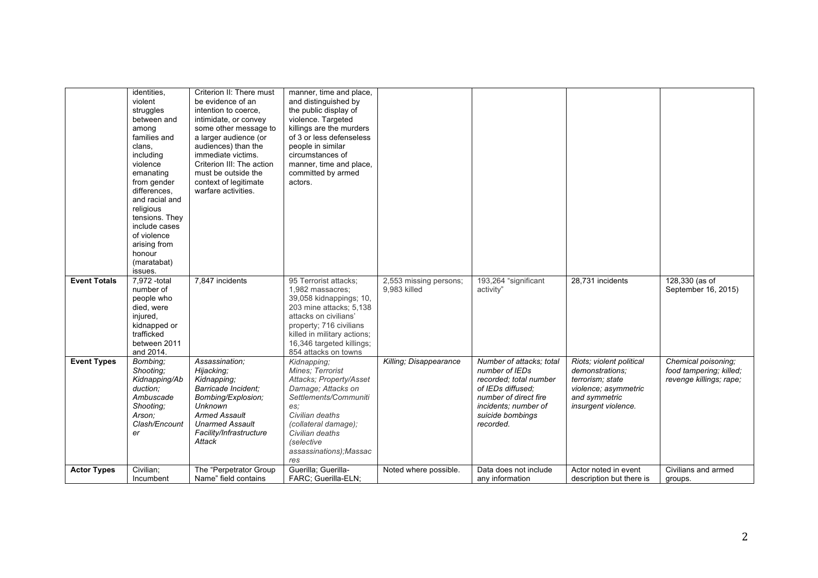|                     | identities.<br>violent<br>struggles<br>between and<br>among<br>families and<br>clans,<br>including<br>violence<br>emanating<br>from gender<br>differences.<br>and racial and<br>religious<br>tensions. They<br>include cases<br>of violence<br>arising from<br>honour<br>(maratabat)<br>issues. | Criterion II: There must<br>be evidence of an<br>intention to coerce,<br>intimidate, or convey<br>some other message to<br>a larger audience (or<br>audiences) than the<br>immediate victims.<br>Criterion III: The action<br>must be outside the<br>context of legitimate<br>warfare activities. | manner, time and place,<br>and distinguished by<br>the public display of<br>violence. Targeted<br>killings are the murders<br>of 3 or less defenseless<br>people in similar<br>circumstances of<br>manner, time and place,<br>committed by armed<br>actors. |                                        |                                                                                                                                                                             |                                                                                                                                 |                                                                           |
|---------------------|-------------------------------------------------------------------------------------------------------------------------------------------------------------------------------------------------------------------------------------------------------------------------------------------------|---------------------------------------------------------------------------------------------------------------------------------------------------------------------------------------------------------------------------------------------------------------------------------------------------|-------------------------------------------------------------------------------------------------------------------------------------------------------------------------------------------------------------------------------------------------------------|----------------------------------------|-----------------------------------------------------------------------------------------------------------------------------------------------------------------------------|---------------------------------------------------------------------------------------------------------------------------------|---------------------------------------------------------------------------|
| <b>Event Totals</b> | 7,972 -total<br>number of<br>people who<br>died, were<br>injured,<br>kidnapped or<br>trafficked<br>between 2011<br>and 2014.                                                                                                                                                                    | 7,847 incidents                                                                                                                                                                                                                                                                                   | 95 Terrorist attacks;<br>1,982 massacres;<br>39,058 kidnappings; 10,<br>203 mine attacks; 5,138<br>attacks on civilians'<br>property; 716 civilians<br>killed in military actions;<br>16,346 targeted killings;<br>854 attacks on towns                     | 2,553 missing persons;<br>9.983 killed | 193,264 "significant<br>activity"                                                                                                                                           | 28,731 incidents                                                                                                                | 128,330 (as of<br>September 16, 2015)                                     |
| <b>Event Types</b>  | Bombing;<br>Shooting;<br>Kidnapping/Ab<br>duction:<br>Ambuscade<br>Shooting;<br>Arson:<br>Clash/Encount<br>er                                                                                                                                                                                   | Assassination:<br>Hijacking;<br>Kidnapping;<br>Barricade Incident;<br>Bombing/Explosion;<br><b>Unknown</b><br><b>Armed Assault</b><br><b>Unarmed Assault</b><br>Facility/Infrastructure<br>Attack                                                                                                 | Kidnapping;<br>Mines: Terrorist<br>Attacks: Property/Asset<br>Damage; Attacks on<br>Settlements/Communiti<br>es;<br>Civilian deaths<br>(collateral damage);<br>Civilian deaths<br><i>(selective</i><br>assassinations); Massac<br>res                       | Killing; Disappearance                 | Number of attacks; total<br>number of IEDs<br>recorded; total number<br>of IEDs diffused:<br>number of direct fire<br>incidents; number of<br>suicide bombings<br>recorded. | Riots; violent political<br>demonstrations;<br>terrorism; state<br>violence; asymmetric<br>and symmetric<br>insurgent violence. | Chemical poisoning;<br>food tampering; killed;<br>revenge killings; rape; |
| <b>Actor Types</b>  | Civilian:<br>Incumbent                                                                                                                                                                                                                                                                          | The "Perpetrator Group<br>Name" field contains                                                                                                                                                                                                                                                    | Guerilla: Guerilla-<br>FARC; Guerilla-ELN;                                                                                                                                                                                                                  | Noted where possible.                  | Data does not include<br>any information                                                                                                                                    | Actor noted in event<br>description but there is                                                                                | Civilians and armed<br>groups.                                            |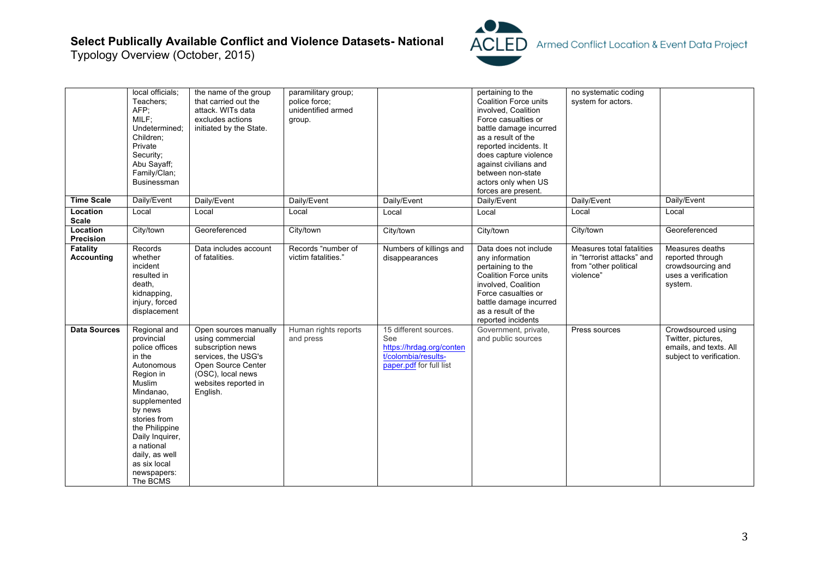## **Select Publically Available Conflict and Violence Datasets- National**

Typology Overview (October, 2015)



|                               | local officials;<br>Teachers;<br>AFP;<br>MILF;<br>Undetermined:<br>Children:<br>Private<br>Security;<br>Abu Sayaff;<br>Family/Clan;<br>Businessman                                                                                                                  | the name of the group<br>that carried out the<br>attack. WITs data<br>excludes actions<br>initiated by the State.                                                    | paramilitary group;<br>police force;<br>unidentified armed<br>group. |                                                                                                            | pertaining to the<br><b>Coalition Force units</b><br>involved, Coalition<br>Force casualties or<br>battle damage incurred<br>as a result of the<br>reported incidents. It<br>does capture violence<br>against civilians and<br>between non-state<br>actors only when US<br>forces are present. | no systematic coding<br>system for actors.                                                    |                                                                                                |
|-------------------------------|---------------------------------------------------------------------------------------------------------------------------------------------------------------------------------------------------------------------------------------------------------------------|----------------------------------------------------------------------------------------------------------------------------------------------------------------------|----------------------------------------------------------------------|------------------------------------------------------------------------------------------------------------|------------------------------------------------------------------------------------------------------------------------------------------------------------------------------------------------------------------------------------------------------------------------------------------------|-----------------------------------------------------------------------------------------------|------------------------------------------------------------------------------------------------|
| <b>Time Scale</b>             | Daily/Event                                                                                                                                                                                                                                                         | Daily/Event                                                                                                                                                          | Daily/Event                                                          | Daily/Event                                                                                                | Daily/Event                                                                                                                                                                                                                                                                                    | Daily/Event                                                                                   | Daily/Event                                                                                    |
| Location<br><b>Scale</b>      | Local                                                                                                                                                                                                                                                               | Local                                                                                                                                                                | Local                                                                | Local                                                                                                      | Local                                                                                                                                                                                                                                                                                          | Local                                                                                         | Local                                                                                          |
| Location<br>Precision         | City/town                                                                                                                                                                                                                                                           | Georeferenced                                                                                                                                                        | City/town                                                            | City/town                                                                                                  | City/town                                                                                                                                                                                                                                                                                      | City/town                                                                                     | Georeferenced                                                                                  |
| Fatality<br><b>Accounting</b> | Records<br>whether<br>incident<br>resulted in<br>death,<br>kidnapping,<br>injury, forced<br>displacement                                                                                                                                                            | Data includes account<br>of fatalities.                                                                                                                              | Records "number of<br>victim fatalities."                            | Numbers of killings and<br>disappearances                                                                  | Data does not include<br>any information<br>pertaining to the<br><b>Coalition Force units</b><br>involved, Coalition<br>Force casualties or<br>battle damage incurred<br>as a result of the<br>reported incidents                                                                              | Measures total fatalities<br>in "terrorist attacks" and<br>from "other political<br>violence" | Measures deaths<br>reported through<br>crowdsourcing and<br>uses a verification<br>system.     |
| <b>Data Sources</b>           | Regional and<br>provincial<br>police offices<br>in the<br>Autonomous<br>Region in<br>Muslim<br>Mindanao,<br>supplemented<br>by news<br>stories from<br>the Philippine<br>Daily Inquirer,<br>a national<br>daily, as well<br>as six local<br>newspapers:<br>The BCMS | Open sources manually<br>using commercial<br>subscription news<br>services, the USG's<br>Open Source Center<br>(OSC), local news<br>websites reported in<br>English. | Human rights reports<br>and press                                    | 15 different sources.<br>See<br>https://hrdag.org/conten<br>t/colombia/results-<br>paper.pdf for full list | Government, private,<br>and public sources                                                                                                                                                                                                                                                     | Press sources                                                                                 | Crowdsourced using<br>Twitter, pictures,<br>emails, and texts. All<br>subject to verification. |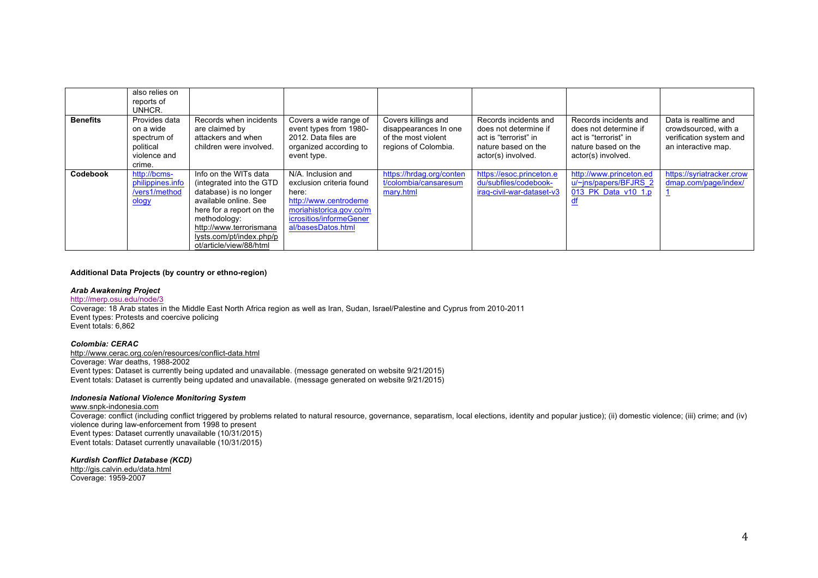|                 | also relies on<br>reports of<br>UNHCR.                                           |                                                                                                                                                                                                                                    |                                                                                                                                                              |                                                                                             |                                                                                                                      |                                                                                                                      |                                                                                                |
|-----------------|----------------------------------------------------------------------------------|------------------------------------------------------------------------------------------------------------------------------------------------------------------------------------------------------------------------------------|--------------------------------------------------------------------------------------------------------------------------------------------------------------|---------------------------------------------------------------------------------------------|----------------------------------------------------------------------------------------------------------------------|----------------------------------------------------------------------------------------------------------------------|------------------------------------------------------------------------------------------------|
| <b>Benefits</b> | Provides data<br>on a wide<br>spectrum of<br>political<br>violence and<br>crime. | Records when incidents<br>are claimed by<br>attackers and when<br>children were involved.                                                                                                                                          | Covers a wide range of<br>event types from 1980-<br>2012. Data files are<br>organized according to<br>event type.                                            | Covers killings and<br>disappearances In one<br>of the most violent<br>regions of Colombia. | Records incidents and<br>does not determine if<br>act is "terrorist" in<br>nature based on the<br>actor(s) involved. | Records incidents and<br>does not determine if<br>act is "terrorist" in<br>nature based on the<br>actor(s) involved. | Data is realtime and<br>crowdsourced, with a<br>verification system and<br>an interactive map. |
| Codebook        | http://bcms-<br>philippines.info<br>/vers1/method<br>ology                       | Info on the WITs data<br>(integrated into the GTD<br>database) is no longer<br>available online. See<br>here for a report on the<br>methodology:<br>http://www.terrorismana<br>lysts.com/pt/index.php/p<br>ot/article/view/88/html | N/A. Inclusion and<br>exclusion criteria found<br>here:<br>http://www.centrodeme<br>moriahistorica.gov.co/m<br>icrositios/informeGener<br>al/basesDatos.html | https://hrdag.org/conten<br>t/colombia/cansaresum<br>mary.html                              | https://esoc.princeton.e<br>du/subfiles/codebook-<br>iraq-civil-war-dataset-v3                                       | http://www.princeton.ed<br>u/~ins/papers/BFJRS 2<br>013 PK Data v10 1.p<br>₫f                                        | https://syriatracker.crow<br>dmap.com/page/index/                                              |

#### **Additional Data Projects (by country or ethno-region)**

#### *Arab Awakening Project*

http://merp.osu.edu/node/3

Coverage: 18 Arab states in the Middle East North Africa region as well as Iran, Sudan, Israel/Palestine and Cyprus from 2010-2011 Event types: Protests and coercive policing Event totals: 6,862

#### *Colombia: CERAC*

http://www.cerac.org.co/en/resources/conflict-data.html Coverage: War deaths, 1988-2002 Event types: Dataset is currently being updated and unavailable. (message generated on website 9/21/2015) Event totals: Dataset is currently being updated and unavailable. (message generated on website 9/21/2015)

#### *Indonesia National Violence Monitoring System*

#### www.snpk-indonesia.com

Coverage: conflict (including conflict triggered by problems related to natural resource, governance, separatism, local elections, identity and popular justice); (ii) domestic violence; (iii) crime; and (iv) violence during law-enforcement from 1998 to present Event types: Dataset currently unavailable (10/31/2015) Event totals: Dataset currently unavailable (10/31/2015)

#### *Kurdish Conflict Database (KCD)*

http://gis.calvin.edu/data.html Coverage: 1959-2007